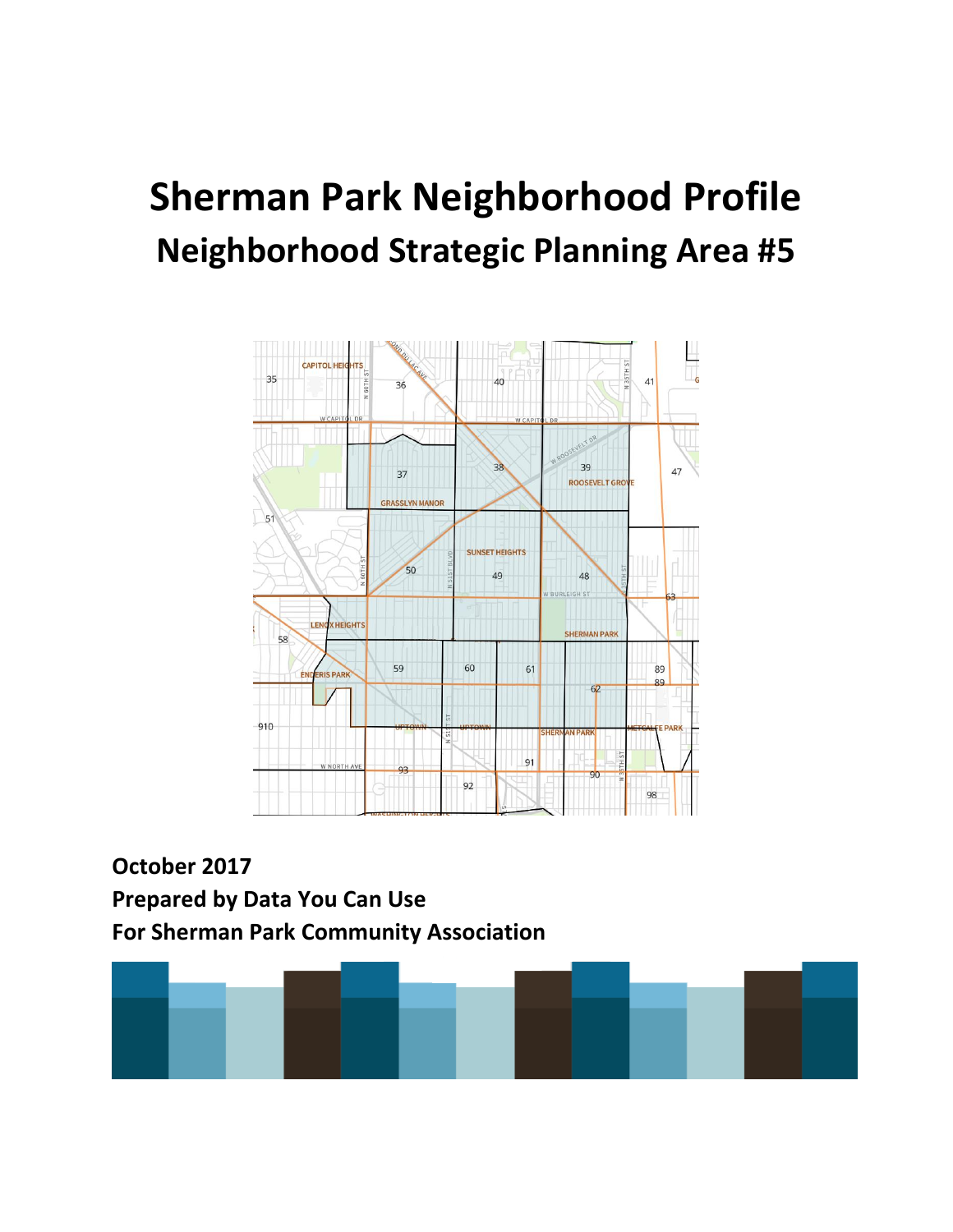# **Sherman Park Neighborhood Profile Neighborhood Strategic Planning Area #5**



**October 2017 Prepared by Data You Can Use For Sherman Park Community Association**

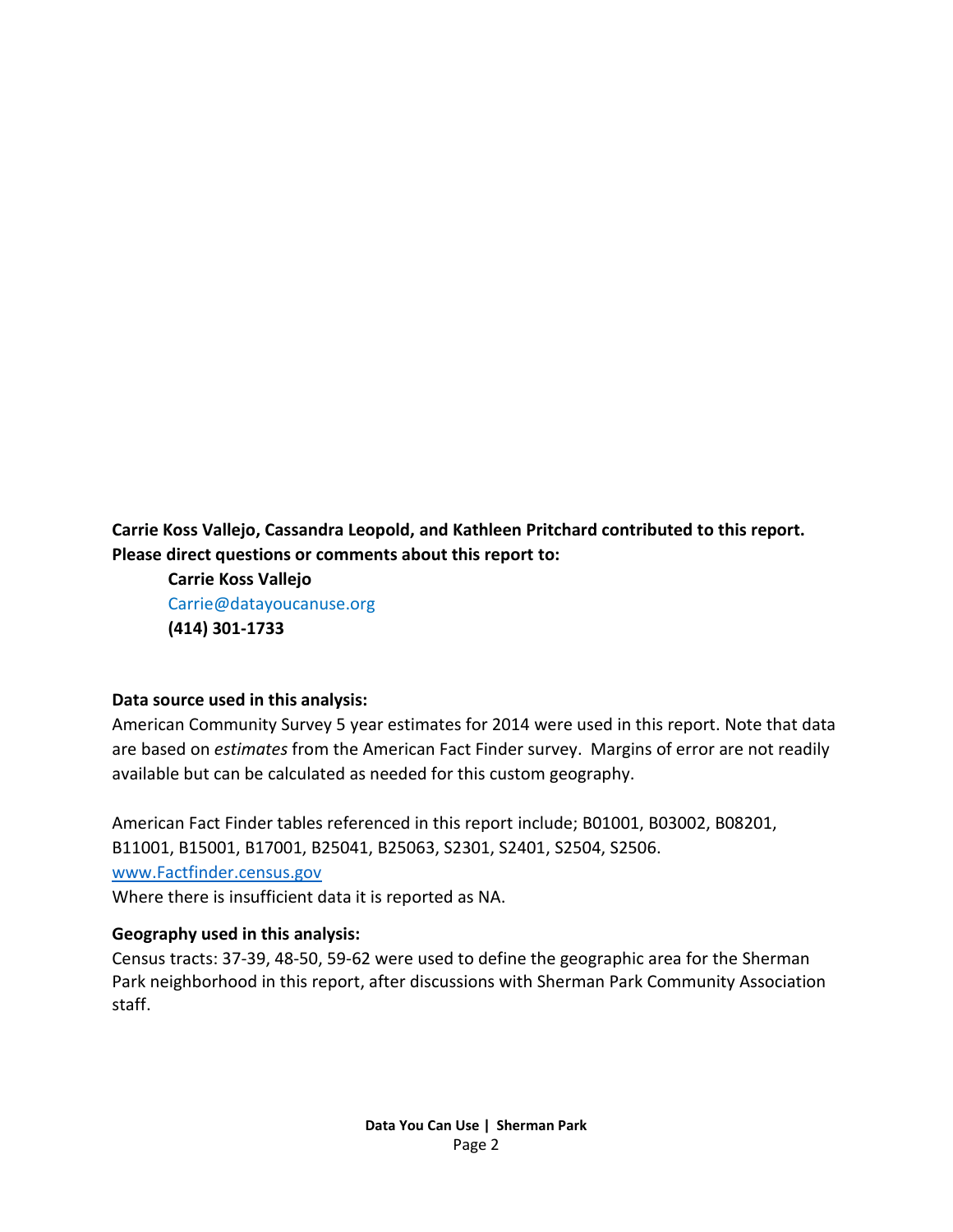**Carrie Koss Vallejo, Cassandra Leopold, and Kathleen Pritchard contributed to this report. Please direct questions or comments about this report to:**

**Carrie Koss Vallejo** Carrie@datayoucanuse.org **(414) 301-1733**

#### **Data source used in this analysis:**

American Community Survey 5 year estimates for 2014 were used in this report. Note that data are based on *estimates* from the American Fact Finder survey. Margins of error are not readily available but can be calculated as needed for this custom geography.

American Fact Finder tables referenced in this report include; B01001, B03002, B08201, B11001, B15001, B17001, B25041, B25063, S2301, S2401, S2504, S2506. [www.Factfinder.census.gov](http://www.factfinder.census.gov/)  Where there is insufficient data it is reported as NA.

#### **Geography used in this analysis:**

Census tracts: 37-39, 48-50, 59-62 were used to define the geographic area for the Sherman Park neighborhood in this report, after discussions with Sherman Park Community Association staff.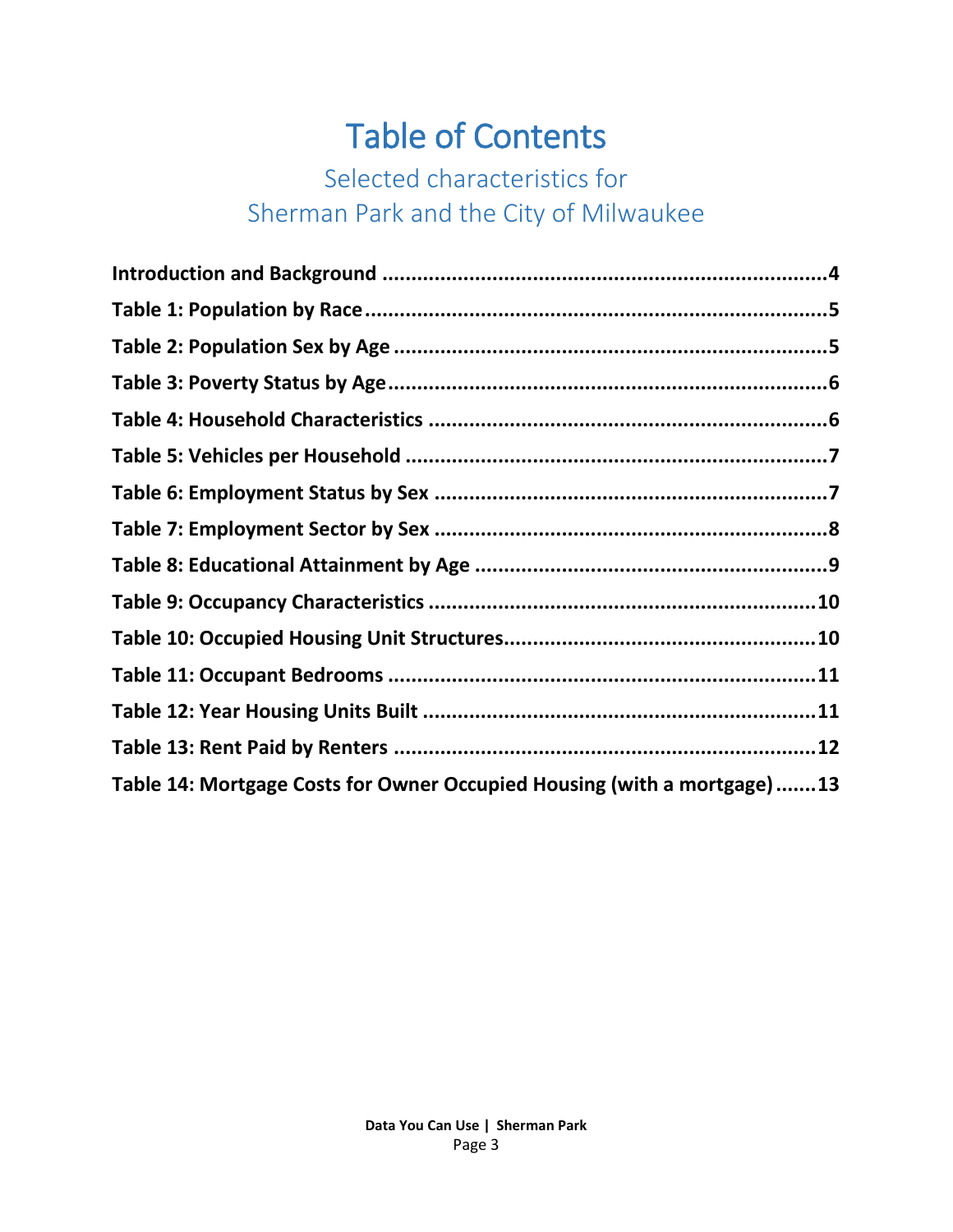## Table of Contents

## Selected characteristics for Sherman Park and the City of Milwaukee

| Table 14: Mortgage Costs for Owner Occupied Housing (with a mortgage)13 |  |
|-------------------------------------------------------------------------|--|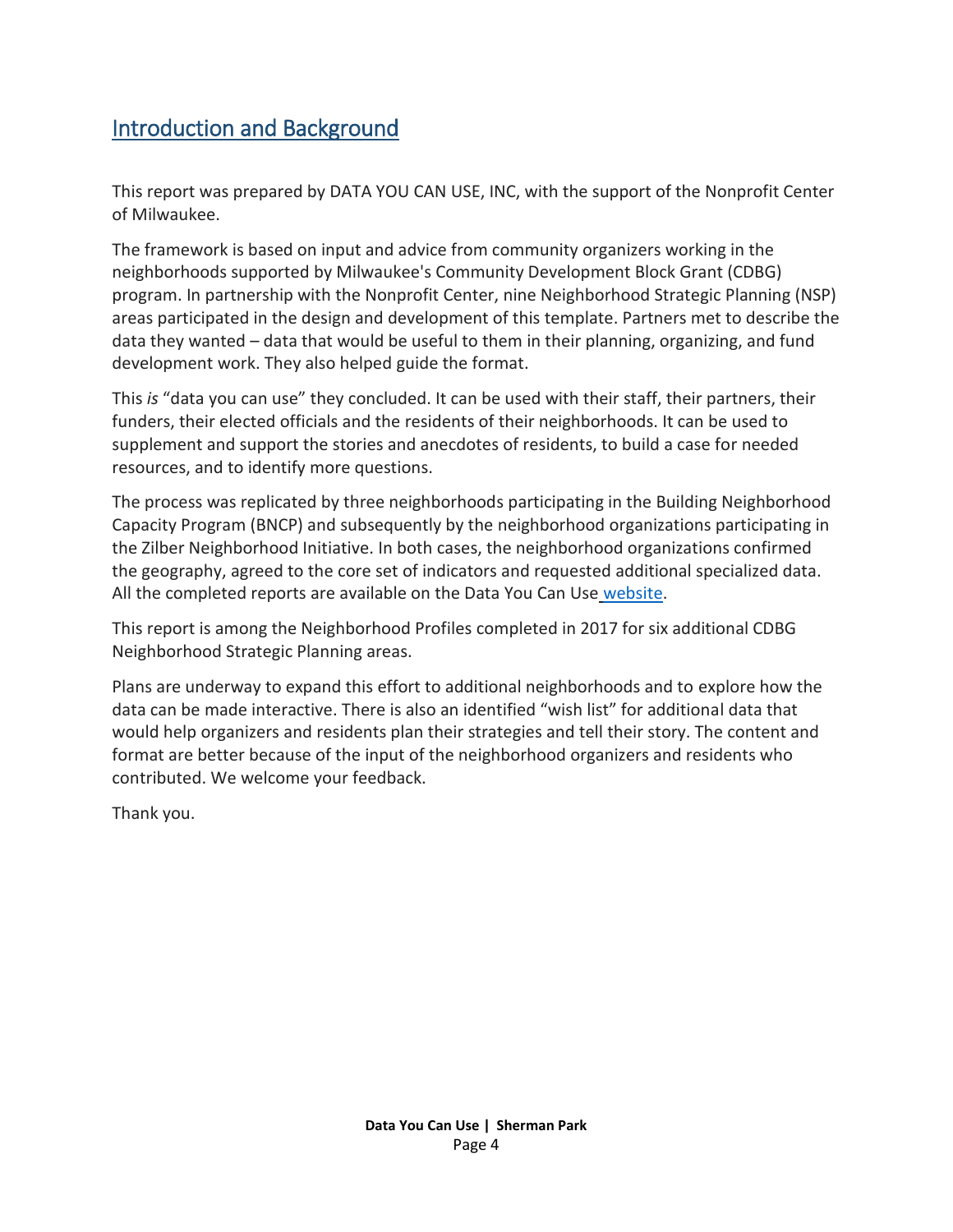#### <span id="page-3-0"></span>Introduction and Background

This report was prepared by DATA YOU CAN USE, INC, with the support of the Nonprofit Center of Milwaukee.

The framework is based on input and advice from community organizers working in the neighborhoods supported by Milwaukee's Community Development Block Grant (CDBG) program. In partnership with the Nonprofit Center, nine Neighborhood Strategic Planning (NSP) areas participated in the design and development of this template. Partners met to describe the data they wanted – data that would be useful to them in their planning, organizing, and fund development work. They also helped guide the format.

This *is* "data you can use" they concluded. It can be used with their staff, their partners, their funders, their elected officials and the residents of their neighborhoods. It can be used to supplement and support the stories and anecdotes of residents, to build a case for needed resources, and to identify more questions.

The process was replicated by three neighborhoods participating in the Building Neighborhood Capacity Program (BNCP) and subsequently by the neighborhood organizations participating in the Zilber Neighborhood Initiative. In both cases, the neighborhood organizations confirmed the geography, agreed to the core set of indicators and requested additional specialized data. All the completed reports are available on the Data You Can Use [website.](http://datayoucanuse.org/reports-and-presentations/)

This report is among the Neighborhood Profiles completed in 2017 for six additional CDBG Neighborhood Strategic Planning areas.

Plans are underway to expand this effort to additional neighborhoods and to explore how the data can be made interactive. There is also an identified "wish list" for additional data that would help organizers and residents plan their strategies and tell their story. The content and format are better because of the input of the neighborhood organizers and residents who contributed. We welcome your feedback.

Thank you.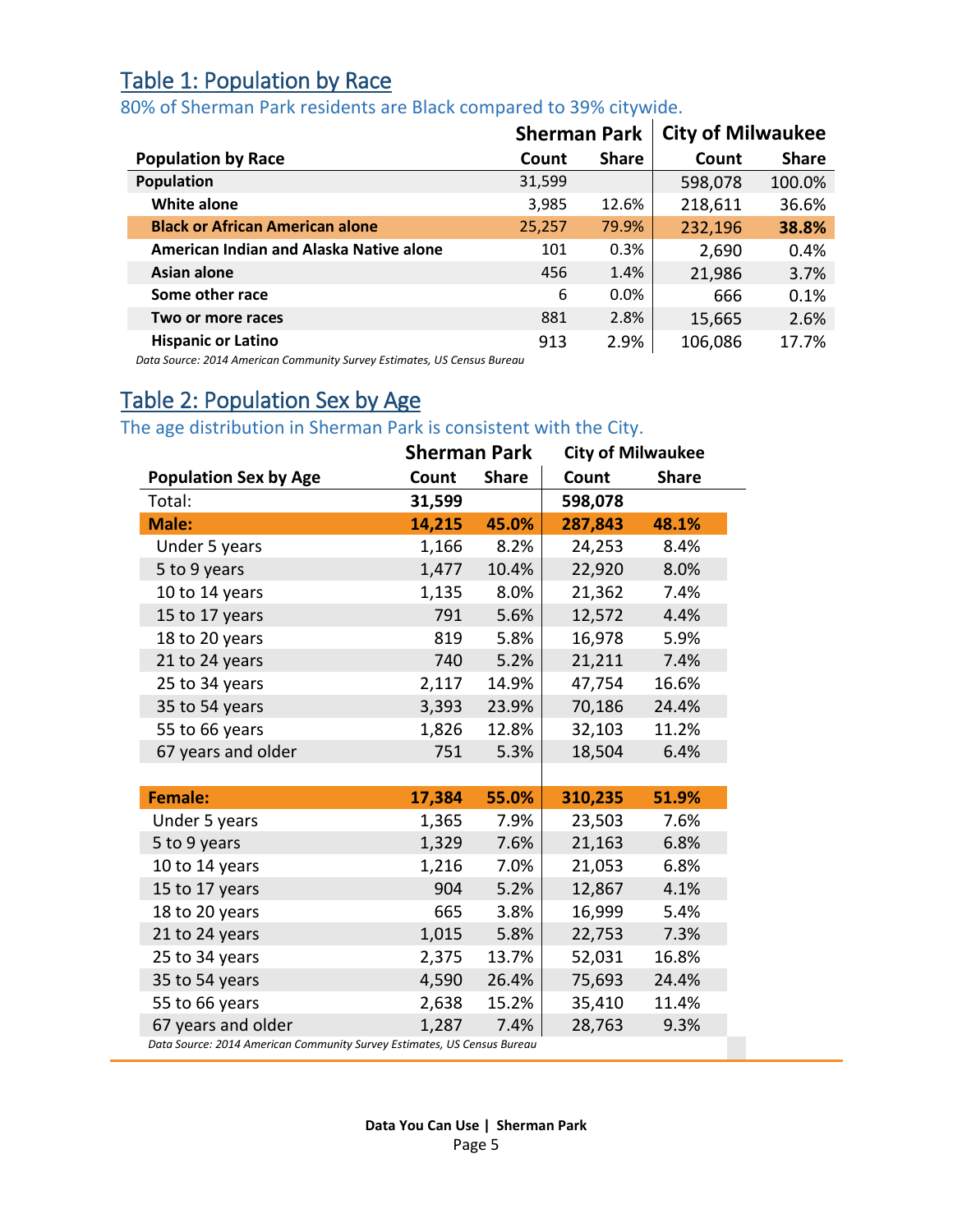#### <span id="page-4-0"></span>Table 1: Population by Race

#### 80% of Sherman Park residents are Black compared to 39% citywide.

|                                         | <b>Sherman Park</b> |              | <b>City of Milwaukee</b> |              |
|-----------------------------------------|---------------------|--------------|--------------------------|--------------|
| <b>Population by Race</b>               | Count               | <b>Share</b> | Count                    | <b>Share</b> |
| Population                              | 31,599              |              | 598,078                  | 100.0%       |
| <b>White alone</b>                      | 3,985               | 12.6%        | 218,611                  | 36.6%        |
| <b>Black or African American alone</b>  | 25,257              | 79.9%        | 232,196                  | 38.8%        |
| American Indian and Alaska Native alone | 101                 | 0.3%         | 2,690                    | 0.4%         |
| Asian alone                             | 456                 | 1.4%         | 21,986                   | 3.7%         |
| Some other race                         | 6                   | $0.0\%$      | 666                      | 0.1%         |
| Two or more races                       | 881                 | 2.8%         | 15,665                   | 2.6%         |
| <b>Hispanic or Latino</b>               | 913                 | 2.9%         | 106,086                  | 17.7%        |

*Data Source: 2014 American Community Survey Estimates, US Census Bureau*

### <span id="page-4-1"></span>Table 2: Population Sex by Age

The age distribution in Sherman Park is consistent with the City.

|                                                                         | <b>Sherman Park</b> |              | <b>City of Milwaukee</b> |              |
|-------------------------------------------------------------------------|---------------------|--------------|--------------------------|--------------|
| <b>Population Sex by Age</b>                                            | Count               | <b>Share</b> | Count                    | <b>Share</b> |
| Total:                                                                  | 31,599              |              | 598,078                  |              |
| <b>Male:</b>                                                            | 14,215              | 45.0%        | 287,843                  | 48.1%        |
| Under 5 years                                                           | 1,166               | 8.2%         | 24,253                   | 8.4%         |
| 5 to 9 years                                                            | 1,477               | 10.4%        | 22,920                   | 8.0%         |
| 10 to 14 years                                                          | 1,135               | 8.0%         | 21,362                   | 7.4%         |
| 15 to 17 years                                                          | 791                 | 5.6%         | 12,572                   | 4.4%         |
| 18 to 20 years                                                          | 819                 | 5.8%         | 16,978                   | 5.9%         |
| 21 to 24 years                                                          | 740                 | 5.2%         | 21,211                   | 7.4%         |
| 25 to 34 years                                                          | 2,117               | 14.9%        | 47,754                   | 16.6%        |
| 35 to 54 years                                                          | 3,393               | 23.9%        | 70,186                   | 24.4%        |
| 55 to 66 years                                                          | 1,826               | 12.8%        | 32,103                   | 11.2%        |
| 67 years and older                                                      | 751                 | 5.3%         | 18,504                   | 6.4%         |
|                                                                         |                     |              |                          |              |
| <b>Female:</b>                                                          | 17,384              | 55.0%        | 310,235                  | 51.9%        |
| Under 5 years                                                           | 1,365               | 7.9%         | 23,503                   | 7.6%         |
| 5 to 9 years                                                            | 1,329               | 7.6%         | 21,163                   | 6.8%         |
| 10 to 14 years                                                          | 1,216               | 7.0%         | 21,053                   | 6.8%         |
| 15 to 17 years                                                          | 904                 | 5.2%         | 12,867                   | 4.1%         |
| 18 to 20 years                                                          | 665                 | 3.8%         | 16,999                   | 5.4%         |
| 21 to 24 years                                                          | 1,015               | 5.8%         | 22,753                   | 7.3%         |
| 25 to 34 years                                                          | 2,375               | 13.7%        | 52,031                   | 16.8%        |
| 35 to 54 years                                                          | 4,590               | 26.4%        | 75,693                   | 24.4%        |
| 55 to 66 years                                                          | 2,638               | 15.2%        | 35,410                   | 11.4%        |
| 67 years and older                                                      | 1,287               | 7.4%         | 28,763                   | 9.3%         |
| Data Source: 2014 American Community Survey Estimates, US Census Bureau |                     |              |                          |              |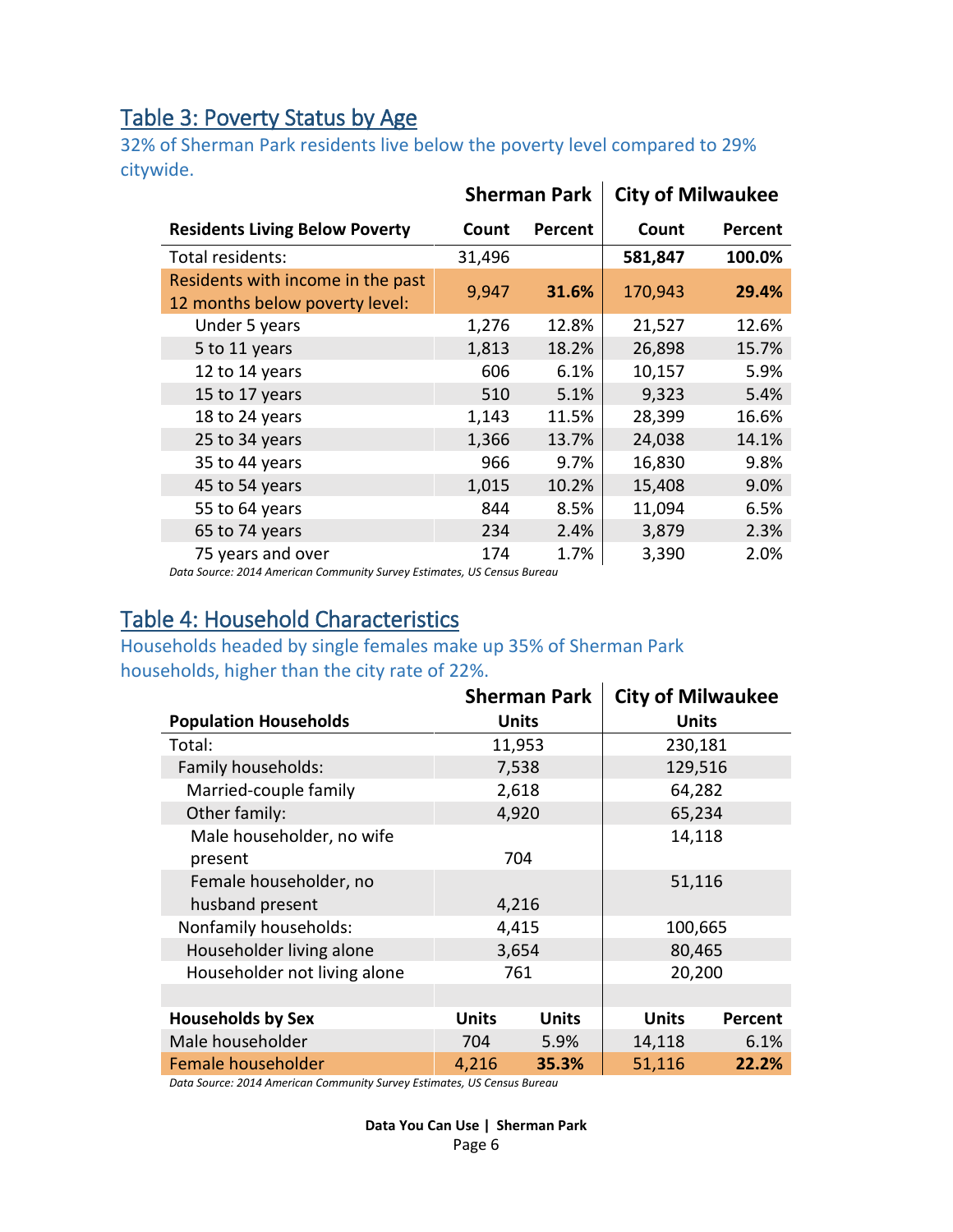#### <span id="page-5-0"></span>Table 3: Poverty Status by Age

32% of Sherman Park residents live below the poverty level compared to 29% citywide.

|                                                                     |        | <b>Sherman Park</b> | <b>City of Milwaukee</b> |                |
|---------------------------------------------------------------------|--------|---------------------|--------------------------|----------------|
| <b>Residents Living Below Poverty</b>                               | Count  | Percent             | Count                    | <b>Percent</b> |
| Total residents:                                                    | 31,496 |                     | 581,847                  | 100.0%         |
| Residents with income in the past<br>12 months below poverty level: | 9,947  | 31.6%               | 170,943                  | 29.4%          |
| Under 5 years                                                       | 1,276  | 12.8%               | 21,527                   | 12.6%          |
| 5 to 11 years                                                       | 1,813  | 18.2%               | 26,898                   | 15.7%          |
| 12 to 14 years                                                      | 606    | 6.1%                | 10,157                   | 5.9%           |
| 15 to 17 years                                                      | 510    | 5.1%                | 9,323                    | 5.4%           |
| 18 to 24 years                                                      | 1,143  | 11.5%               | 28,399                   | 16.6%          |
| 25 to 34 years                                                      | 1,366  | 13.7%               | 24,038                   | 14.1%          |
| 35 to 44 years                                                      | 966    | 9.7%                | 16,830                   | 9.8%           |
| 45 to 54 years                                                      | 1,015  | 10.2%               | 15,408                   | 9.0%           |
| 55 to 64 years                                                      | 844    | 8.5%                | 11,094                   | 6.5%           |
| 65 to 74 years                                                      | 234    | 2.4%                | 3,879                    | 2.3%           |
| 75 years and over                                                   | 174    | 1.7%                | 3,390                    | 2.0%           |

*Data Source: 2014 American Community Survey Estimates, US Census Bureau*

#### <span id="page-5-1"></span>Table 4: Household Characteristics

#### Households headed by single females make up 35% of Sherman Park households, higher than the city rate of 22%.  $\mathbf{r}$

|                              |              | <b>Sherman Park</b> | <b>City of Milwaukee</b> |                |
|------------------------------|--------------|---------------------|--------------------------|----------------|
| <b>Population Households</b> |              | <b>Units</b>        | <b>Units</b>             |                |
| Total:                       |              | 11,953              | 230,181                  |                |
| Family households:           |              | 7,538               | 129,516                  |                |
| Married-couple family        |              | 2,618               | 64,282                   |                |
| Other family:                |              | 4,920               | 65,234                   |                |
| Male householder, no wife    |              |                     | 14,118                   |                |
| present                      |              | 704                 |                          |                |
| Female householder, no       |              |                     | 51,116                   |                |
| husband present              |              | 4,216               |                          |                |
| Nonfamily households:        |              | 4,415               | 100,665                  |                |
| Householder living alone     |              | 3,654               | 80,465                   |                |
| Householder not living alone |              | 761                 | 20,200                   |                |
|                              |              |                     |                          |                |
| <b>Households by Sex</b>     | <b>Units</b> | <b>Units</b>        | <b>Units</b>             | <b>Percent</b> |
| Male householder             | 704          | 5.9%                | 14,118                   | 6.1%           |
| Female householder           | 4,216        | 35.3%               | 51,116                   | 22.2%          |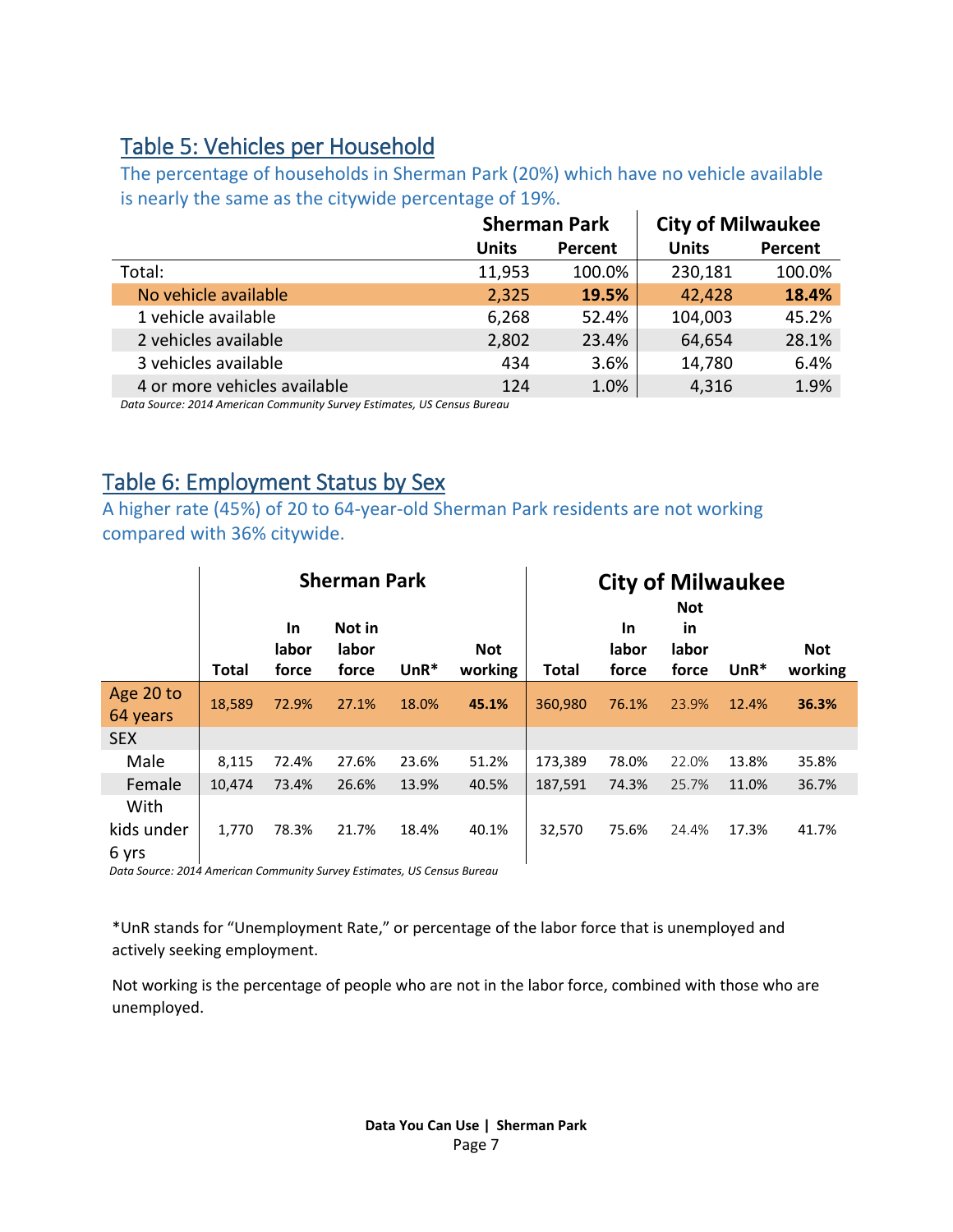#### <span id="page-6-0"></span>Table 5: Vehicles per Household

The percentage of households in Sherman Park (20%) which have no vehicle available is nearly the same as the citywide percentage of 19%.

|                                                                         |              | <b>Sherman Park</b> | <b>City of Milwaukee</b> |         |
|-------------------------------------------------------------------------|--------------|---------------------|--------------------------|---------|
|                                                                         | <b>Units</b> | Percent             | <b>Units</b>             | Percent |
| Total:                                                                  | 11,953       | 100.0%              | 230,181                  | 100.0%  |
| No vehicle available                                                    | 2,325        | 19.5%               | 42,428                   | 18.4%   |
| 1 vehicle available                                                     | 6,268        | 52.4%               | 104,003                  | 45.2%   |
| 2 vehicles available                                                    | 2,802        | 23.4%               | 64,654                   | 28.1%   |
| 3 vehicles available                                                    | 434          | 3.6%                | 14,780                   | 6.4%    |
| 4 or more vehicles available                                            | 124          | 1.0%                | 4,316                    | 1.9%    |
| Data Source: 2014 American Community Survey Estimates, US Census Rureau |              |                     |                          |         |

#### *Data Source: 2014 American Community Survey Estimates, US Census Bureau*

#### <span id="page-6-1"></span>Table 6: Employment Status by Sex

A higher rate (45%) of 20 to 64-year-old Sherman Park residents are not working compared with 36% citywide.

|                       |              |                             | <b>Sherman Park</b>      |        |                       | <b>City of Milwaukee</b><br><b>Not</b> |                      |                      |        |                       |
|-----------------------|--------------|-----------------------------|--------------------------|--------|-----------------------|----------------------------------------|----------------------|----------------------|--------|-----------------------|
|                       | <b>Total</b> | <u>In</u><br>labor<br>force | Not in<br>labor<br>force | $UnR*$ | <b>Not</b><br>working | <b>Total</b>                           | In<br>labor<br>force | in<br>labor<br>force | $UnR*$ | <b>Not</b><br>working |
| Age 20 to<br>64 years | 18,589       | 72.9%                       | 27.1%                    | 18.0%  | 45.1%                 | 360,980                                | 76.1%                | 23.9%                | 12.4%  | 36.3%                 |
| <b>SEX</b>            |              |                             |                          |        |                       |                                        |                      |                      |        |                       |
| Male                  | 8,115        | 72.4%                       | 27.6%                    | 23.6%  | 51.2%                 | 173,389                                | 78.0%                | 22.0%                | 13.8%  | 35.8%                 |
| Female                | 10,474       | 73.4%                       | 26.6%                    | 13.9%  | 40.5%                 | 187,591                                | 74.3%                | 25.7%                | 11.0%  | 36.7%                 |
| With                  |              |                             |                          |        |                       |                                        |                      |                      |        |                       |
| kids under<br>6 yrs   | 1,770        | 78.3%                       | 21.7%                    | 18.4%  | 40.1%                 | 32,570                                 | 75.6%                | 24.4%                | 17.3%  | 41.7%                 |

*Data Source: 2014 American Community Survey Estimates, US Census Bureau*

\*UnR stands for "Unemployment Rate," or percentage of the labor force that is unemployed and actively seeking employment.

Not working is the percentage of people who are not in the labor force, combined with those who are unemployed.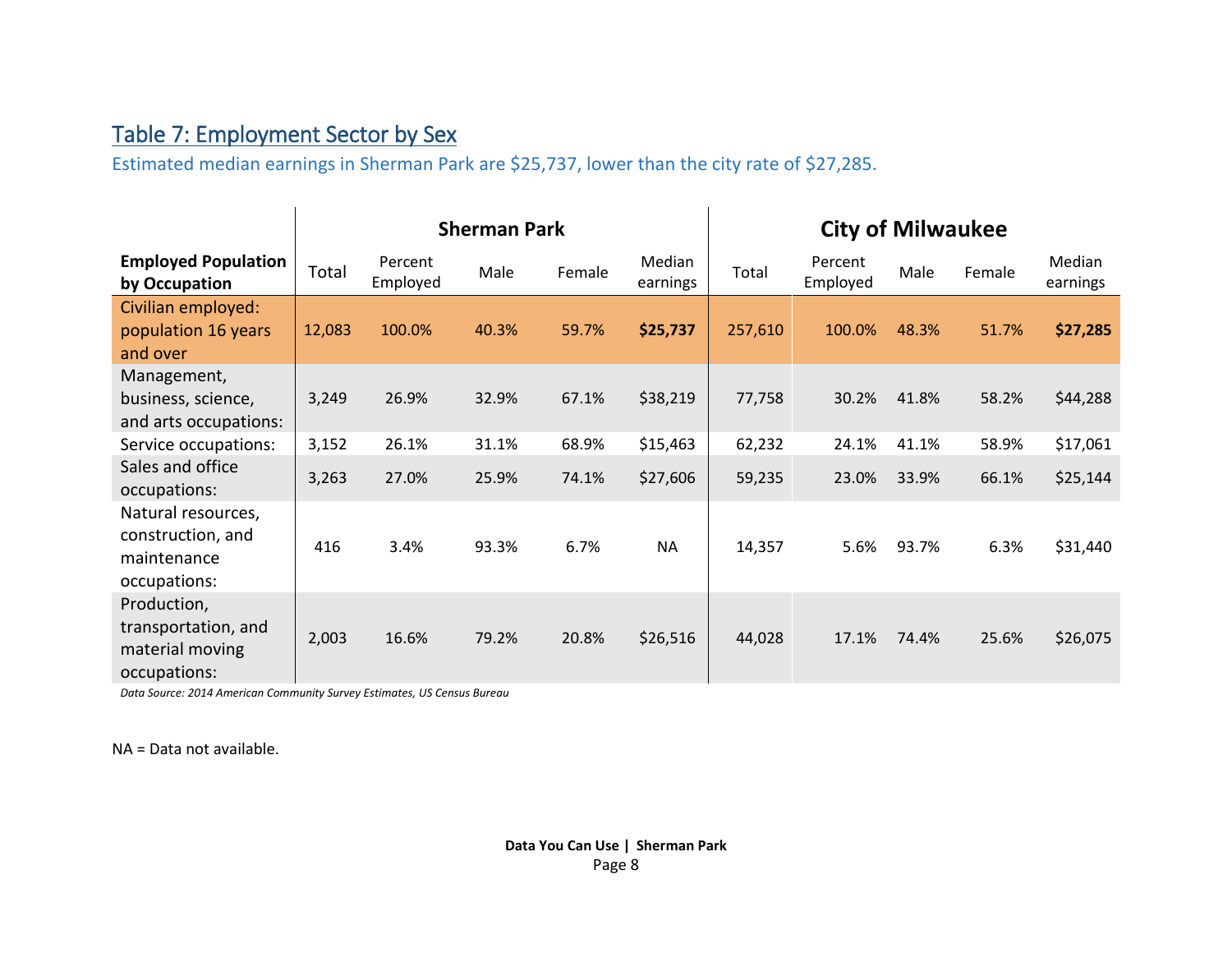## Table 7: Employment Sector by Sex

Estimated median earnings in Sherman Park are \$25,737, lower than the city rate of \$27,285.

<span id="page-7-0"></span>

|                                                                        | <b>Sherman Park</b> |                     |       |        |                    | <b>City of Milwaukee</b> |                     |       |        |                    |
|------------------------------------------------------------------------|---------------------|---------------------|-------|--------|--------------------|--------------------------|---------------------|-------|--------|--------------------|
| <b>Employed Population</b><br>by Occupation                            | Total               | Percent<br>Employed | Male  | Female | Median<br>earnings | Total                    | Percent<br>Employed | Male  | Female | Median<br>earnings |
| Civilian employed:<br>population 16 years<br>and over                  | 12,083              | 100.0%              | 40.3% | 59.7%  | \$25,737           | 257,610                  | 100.0%              | 48.3% | 51.7%  | \$27,285           |
| Management,<br>business, science,<br>and arts occupations:             | 3,249               | 26.9%               | 32.9% | 67.1%  | \$38,219           | 77,758                   | 30.2%               | 41.8% | 58.2%  | \$44,288           |
| Service occupations:                                                   | 3,152               | 26.1%               | 31.1% | 68.9%  | \$15,463           | 62,232                   | 24.1%               | 41.1% | 58.9%  | \$17,061           |
| Sales and office<br>occupations:                                       | 3,263               | 27.0%               | 25.9% | 74.1%  | \$27,606           | 59,235                   | 23.0%               | 33.9% | 66.1%  | \$25,144           |
| Natural resources,<br>construction, and<br>maintenance<br>occupations: | 416                 | 3.4%                | 93.3% | 6.7%   | <b>NA</b>          | 14,357                   | 5.6%                | 93.7% | 6.3%   | \$31,440           |
| Production,<br>transportation, and<br>material moving<br>occupations:  | 2,003               | 16.6%               | 79.2% | 20.8%  | \$26,516           | 44,028                   | 17.1%               | 74.4% | 25.6%  | \$26,075           |

*Data Source: 2014 American Community Survey Estimates, US Census Bureau*

NA = Data not available.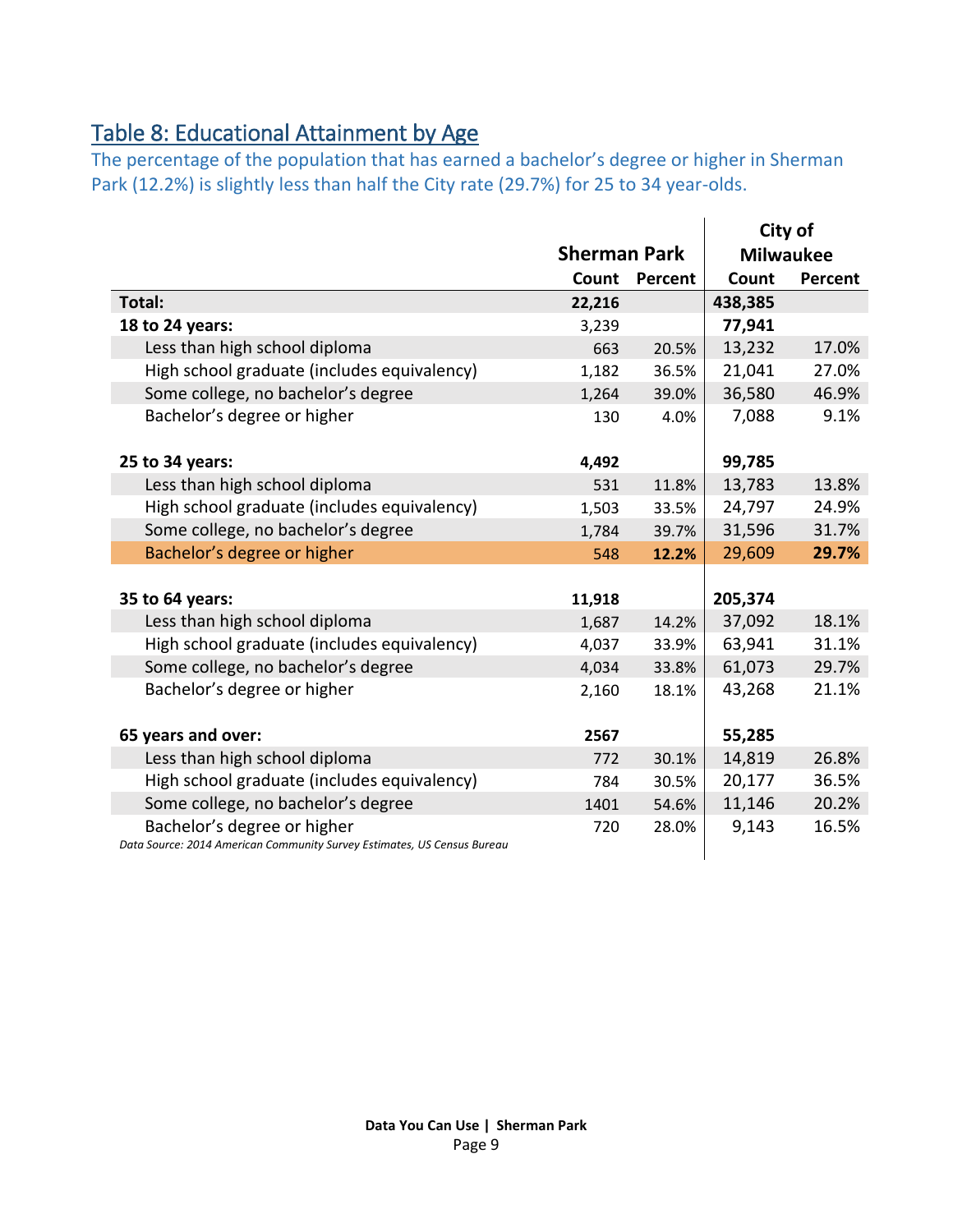## <span id="page-8-0"></span>Table 8: Educational Attainment by Age

The percentage of the population that has earned a bachelor's degree or higher in Sherman Park (12.2%) is slightly less than half the City rate (29.7%) for 25 to 34 year-olds.

|                                                                         |                     |         |         | City of          |
|-------------------------------------------------------------------------|---------------------|---------|---------|------------------|
|                                                                         | <b>Sherman Park</b> |         |         | <b>Milwaukee</b> |
|                                                                         | Count               | Percent | Count   | Percent          |
| Total:                                                                  | 22,216              |         | 438,385 |                  |
| 18 to 24 years:                                                         | 3,239               |         | 77,941  |                  |
| Less than high school diploma                                           | 663                 | 20.5%   | 13,232  | 17.0%            |
| High school graduate (includes equivalency)                             | 1,182               | 36.5%   | 21,041  | 27.0%            |
| Some college, no bachelor's degree                                      | 1,264               | 39.0%   | 36,580  | 46.9%            |
| Bachelor's degree or higher                                             | 130                 | 4.0%    | 7,088   | 9.1%             |
|                                                                         |                     |         |         |                  |
| 25 to 34 years:                                                         | 4,492               |         | 99,785  |                  |
| Less than high school diploma                                           | 531                 | 11.8%   | 13,783  | 13.8%            |
| High school graduate (includes equivalency)                             | 1,503               | 33.5%   | 24,797  | 24.9%            |
| Some college, no bachelor's degree                                      | 1,784               | 39.7%   | 31,596  | 31.7%            |
| Bachelor's degree or higher                                             | 548                 | 12.2%   | 29,609  | 29.7%            |
|                                                                         |                     |         |         |                  |
| 35 to 64 years:                                                         | 11,918              |         | 205,374 |                  |
| Less than high school diploma                                           | 1,687               | 14.2%   | 37,092  | 18.1%            |
| High school graduate (includes equivalency)                             | 4,037               | 33.9%   | 63,941  | 31.1%            |
| Some college, no bachelor's degree                                      | 4,034               | 33.8%   | 61,073  | 29.7%            |
| Bachelor's degree or higher                                             | 2,160               | 18.1%   | 43,268  | 21.1%            |
|                                                                         |                     |         |         |                  |
| 65 years and over:                                                      | 2567                |         | 55,285  |                  |
| Less than high school diploma                                           | 772                 | 30.1%   | 14,819  | 26.8%            |
| High school graduate (includes equivalency)                             | 784                 | 30.5%   | 20,177  | 36.5%            |
| Some college, no bachelor's degree                                      | 1401                | 54.6%   | 11,146  | 20.2%            |
| Bachelor's degree or higher                                             | 720                 | 28.0%   | 9,143   | 16.5%            |
| Data Source: 2014 American Community Survey Estimates, US Census Bureau |                     |         |         |                  |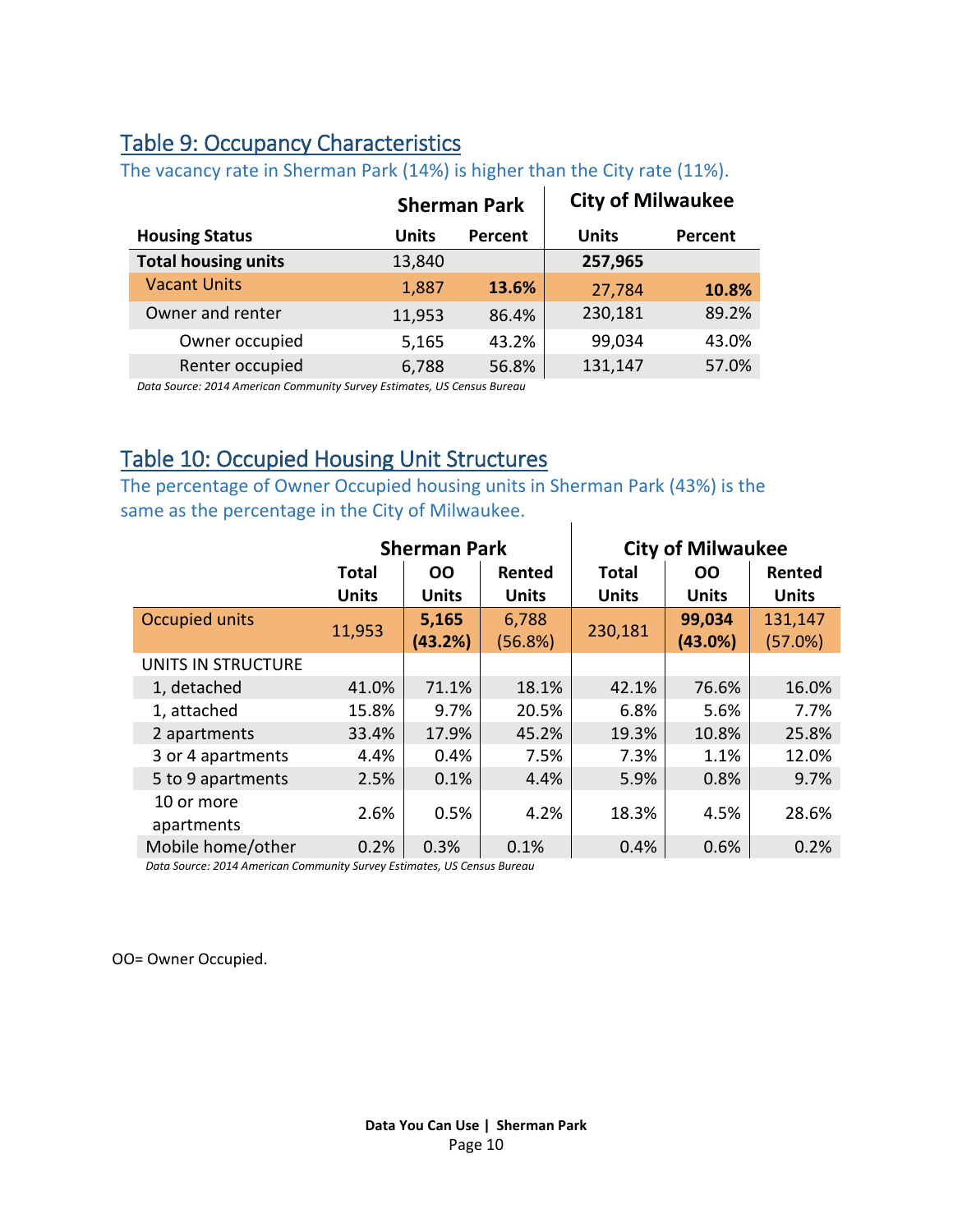### <span id="page-9-0"></span>Table 9: Occupancy Characteristics

|                            |        | <b>Sherman Park</b> | <b>City of Milwaukee</b> |         |
|----------------------------|--------|---------------------|--------------------------|---------|
| <b>Housing Status</b>      | Units  | Percent             | <b>Units</b>             | Percent |
| <b>Total housing units</b> | 13,840 |                     | 257,965                  |         |
| <b>Vacant Units</b>        | 1,887  | 13.6%               | 27,784                   | 10.8%   |
| Owner and renter           | 11,953 | 86.4%               | 230,181                  | 89.2%   |
| Owner occupied             | 5,165  | 43.2%               | 99,034                   | 43.0%   |
| Renter occupied            | 6,788  | 56.8%               | 131,147                  | 57.0%   |

The vacancy rate in Sherman Park (14%) is higher than the City rate (11%).

*Data Source: 2014 American Community Survey Estimates, US Census Bureau*

#### <span id="page-9-1"></span>Table 10: Occupied Housing Unit Structures

The percentage of Owner Occupied housing units in Sherman Park (43%) is the same as the percentage in the City of Milwaukee.  $\overline{1}$ 

|                       |              | <b>Sherman Park</b> |              |              | <b>City of Milwaukee</b> |              |
|-----------------------|--------------|---------------------|--------------|--------------|--------------------------|--------------|
|                       | <b>Total</b> | <b>OO</b>           | Rented       | <b>Total</b> | <b>OO</b>                | Rented       |
|                       | <b>Units</b> | <b>Units</b>        | <b>Units</b> | <b>Units</b> | <b>Units</b>             | <b>Units</b> |
| <b>Occupied units</b> | 11,953       | 5,165               | 6,788        | 230,181      | 99,034                   | 131,147      |
|                       |              | (43.2%)             | (56.8%)      |              | (43.0%)                  | (57.0%)      |
| UNITS IN STRUCTURE    |              |                     |              |              |                          |              |
| 1, detached           | 41.0%        | 71.1%               | 18.1%        | 42.1%        | 76.6%                    | 16.0%        |
| 1, attached           | 15.8%        | 9.7%                | 20.5%        | 6.8%         | 5.6%                     | 7.7%         |
| 2 apartments          | 33.4%        | 17.9%               | 45.2%        | 19.3%        | 10.8%                    | 25.8%        |
| 3 or 4 apartments     | 4.4%         | 0.4%                | 7.5%         | 7.3%         | 1.1%                     | 12.0%        |
| 5 to 9 apartments     | 2.5%         | 0.1%                | 4.4%         | 5.9%         | 0.8%                     | 9.7%         |
| 10 or more            | 2.6%         | 0.5%                | 4.2%         | 18.3%        | 4.5%                     | 28.6%        |
| apartments            |              |                     |              |              |                          |              |
| Mobile home/other     | 0.2%         | 0.3%                | 0.1%         | 0.4%         | 0.6%                     | 0.2%         |

*Data Source: 2014 American Community Survey Estimates, US Census Bureau*

OO= Owner Occupied.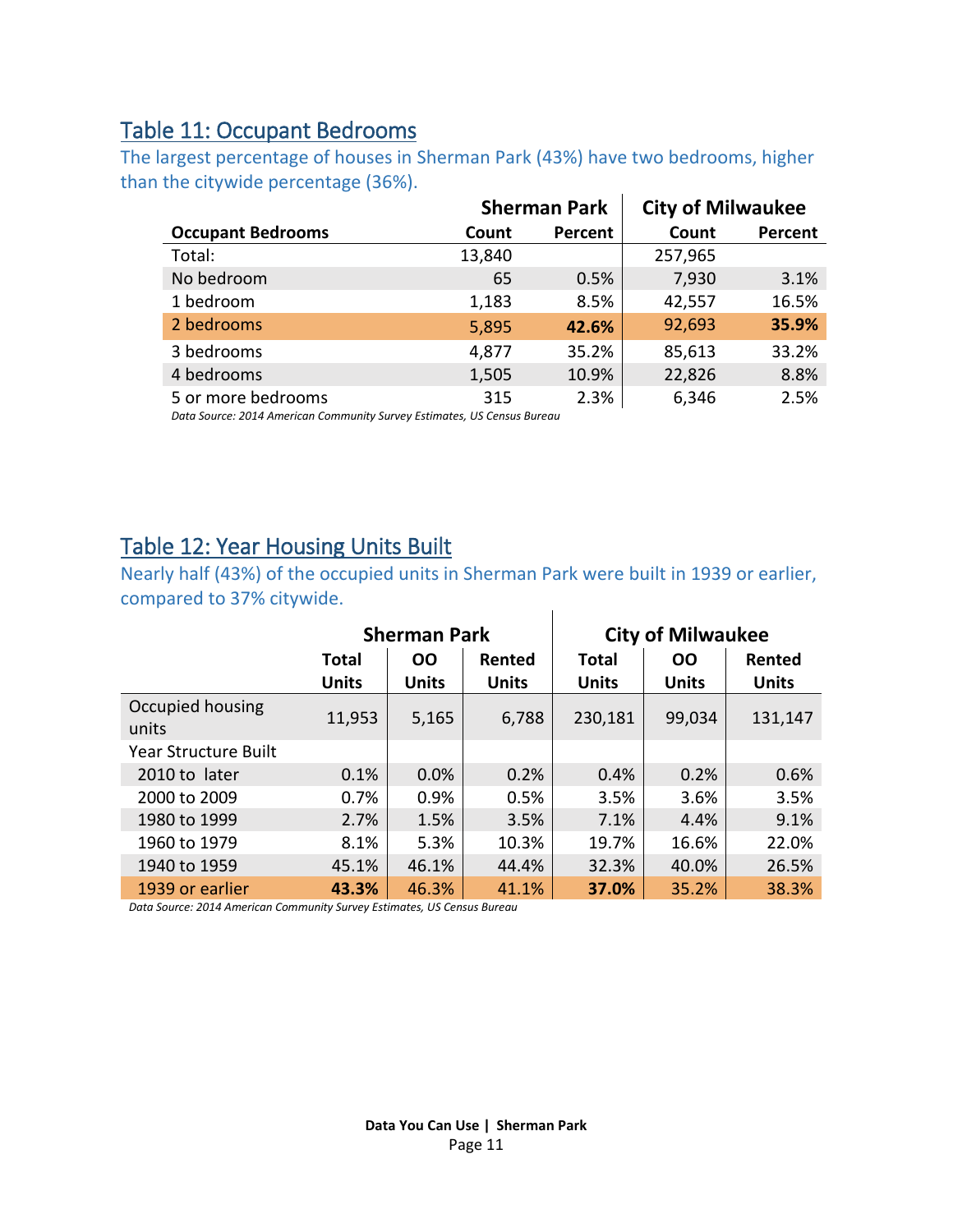#### <span id="page-10-0"></span>Table 11: Occupant Bedrooms

The largest percentage of houses in Sherman Park (43%) have two bedrooms, higher than the citywide percentage (36%).  $\ddot{\phantom{a}}$ 

|                          |        | <b>Sherman Park</b> | <b>City of Milwaukee</b> |         |
|--------------------------|--------|---------------------|--------------------------|---------|
| <b>Occupant Bedrooms</b> | Count  | Percent             | Count                    | Percent |
| Total:                   | 13,840 |                     | 257,965                  |         |
| No bedroom               | 65     | 0.5%                | 7,930                    | 3.1%    |
| 1 bedroom                | 1,183  | 8.5%                | 42,557                   | 16.5%   |
| 2 bedrooms               | 5,895  | 42.6%               | 92,693                   | 35.9%   |
| 3 bedrooms               | 4,877  | 35.2%               | 85,613                   | 33.2%   |
| 4 bedrooms               | 1,505  | 10.9%               | 22,826                   | 8.8%    |
| 5 or more bedrooms       | 315    | 2.3%                | 6,346                    | 2.5%    |

*Data Source: 2014 American Community Survey Estimates, US Census Bureau*

#### <span id="page-10-1"></span>Table 12: Year Housing Units Built

Nearly half (43%) of the occupied units in Sherman Park were built in 1939 or earlier, compared to 37% citywide.  $\mathbf{I}$ 

|                             | <b>Sherman Park</b>   |                           |                        | <b>City of Milwaukee</b>     |                           |                        |
|-----------------------------|-----------------------|---------------------------|------------------------|------------------------------|---------------------------|------------------------|
|                             | Total<br><b>Units</b> | <b>OO</b><br><b>Units</b> | Rented<br><b>Units</b> | <b>Total</b><br><b>Units</b> | <b>OO</b><br><b>Units</b> | Rented<br><b>Units</b> |
| Occupied housing<br>units   | 11,953                | 5,165                     | 6,788                  | 230,181                      | 99,034                    | 131,147                |
| <b>Year Structure Built</b> |                       |                           |                        |                              |                           |                        |
| 2010 to later               | 0.1%                  | 0.0%                      | 0.2%                   | 0.4%                         | 0.2%                      | 0.6%                   |
| 2000 to 2009                | 0.7%                  | 0.9%                      | 0.5%                   | 3.5%                         | 3.6%                      | 3.5%                   |
| 1980 to 1999                | 2.7%                  | 1.5%                      | 3.5%                   | 7.1%                         | 4.4%                      | 9.1%                   |
| 1960 to 1979                | 8.1%                  | 5.3%                      | 10.3%                  | 19.7%                        | 16.6%                     | 22.0%                  |
| 1940 to 1959                | 45.1%                 | 46.1%                     | 44.4%                  | 32.3%                        | 40.0%                     | 26.5%                  |
| 1939 or earlier             | 43.3%                 | 46.3%                     | 41.1%                  | 37.0%                        | 35.2%                     | 38.3%                  |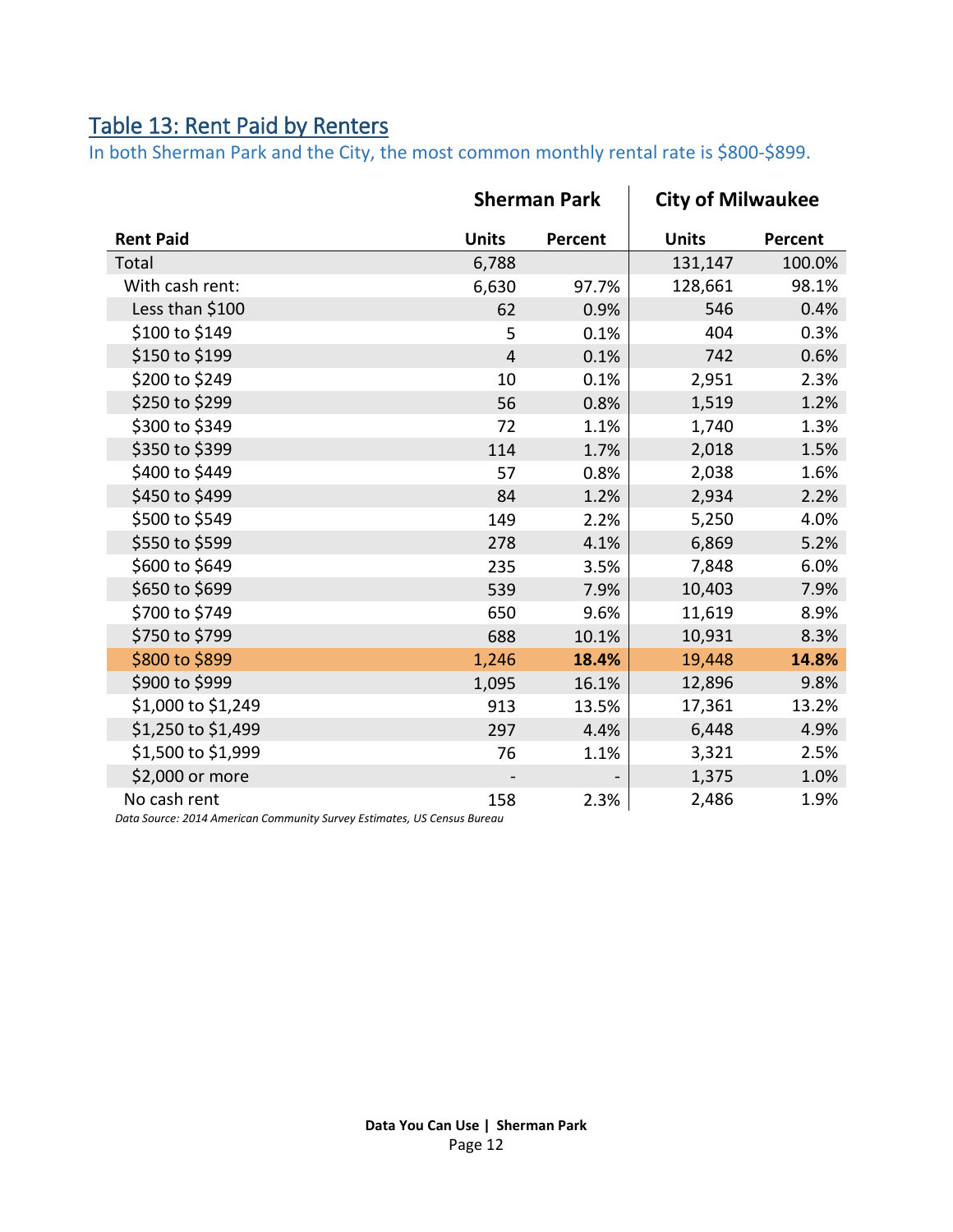## <span id="page-11-0"></span>Table 13: Rent Paid by Renters

In both Sherman Park and the City, the most common monthly rental rate is \$800-\$899.

|                                                                                         | <b>Sherman Park</b> |         | <b>City of Milwaukee</b> |         |
|-----------------------------------------------------------------------------------------|---------------------|---------|--------------------------|---------|
| <b>Rent Paid</b>                                                                        | <b>Units</b>        | Percent | <b>Units</b>             | Percent |
| Total                                                                                   | 6,788               |         | 131,147                  | 100.0%  |
| With cash rent:                                                                         | 6,630               | 97.7%   | 128,661                  | 98.1%   |
| Less than \$100                                                                         | 62                  | 0.9%    | 546                      | 0.4%    |
| \$100 to \$149                                                                          | 5                   | 0.1%    | 404                      | 0.3%    |
| \$150 to \$199                                                                          | $\overline{4}$      | 0.1%    | 742                      | 0.6%    |
| \$200 to \$249                                                                          | 10                  | 0.1%    | 2,951                    | 2.3%    |
| \$250 to \$299                                                                          | 56                  | 0.8%    | 1,519                    | 1.2%    |
| \$300 to \$349                                                                          | 72                  | 1.1%    | 1,740                    | 1.3%    |
| \$350 to \$399                                                                          | 114                 | 1.7%    | 2,018                    | 1.5%    |
| \$400 to \$449                                                                          | 57                  | 0.8%    | 2,038                    | 1.6%    |
| \$450 to \$499                                                                          | 84                  | 1.2%    | 2,934                    | 2.2%    |
| \$500 to \$549                                                                          | 149                 | 2.2%    | 5,250                    | 4.0%    |
| \$550 to \$599                                                                          | 278                 | 4.1%    | 6,869                    | 5.2%    |
| \$600 to \$649                                                                          | 235                 | 3.5%    | 7,848                    | 6.0%    |
| \$650 to \$699                                                                          | 539                 | 7.9%    | 10,403                   | 7.9%    |
| \$700 to \$749                                                                          | 650                 | 9.6%    | 11,619                   | 8.9%    |
| \$750 to \$799                                                                          | 688                 | 10.1%   | 10,931                   | 8.3%    |
| \$800 to \$899                                                                          | 1,246               | 18.4%   | 19,448                   | 14.8%   |
| \$900 to \$999                                                                          | 1,095               | 16.1%   | 12,896                   | 9.8%    |
| \$1,000 to \$1,249                                                                      | 913                 | 13.5%   | 17,361                   | 13.2%   |
| \$1,250 to \$1,499                                                                      | 297                 | 4.4%    | 6,448                    | 4.9%    |
| \$1,500 to \$1,999                                                                      | 76                  | 1.1%    | 3,321                    | 2.5%    |
| \$2,000 or more                                                                         |                     |         | 1,375                    | 1.0%    |
| No cash rent<br>Data Source: 2014 American Community Survey Estimates, US Census Rureau | 158                 | 2.3%    | 2,486                    | 1.9%    |